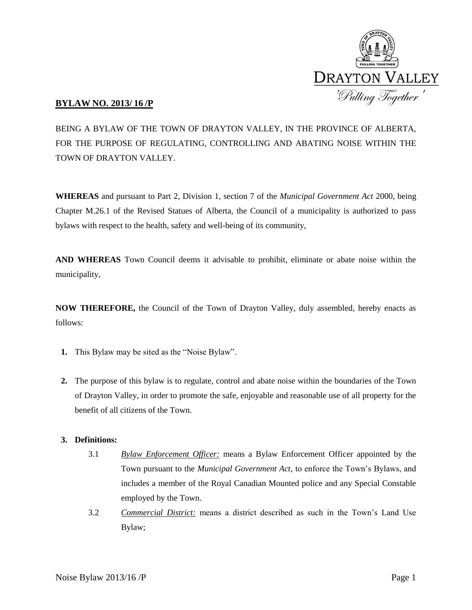

# **BYLAW NO. 2013/ 16 /P**

BEING A BYLAW OF THE TOWN OF DRAYTON VALLEY, IN THE PROVINCE OF ALBERTA, FOR THE PURPOSE OF REGULATING, CONTROLLING AND ABATING NOISE WITHIN THE TOWN OF DRAYTON VALLEY.

**WHEREAS** and pursuant to Part 2, Division 1, section 7 of the *Municipal Government Act* 2000, being Chapter M.26.1 of the Revised Statues of Alberta, the Council of a municipality is authorized to pass bylaws with respect to the health, safety and well-being of its community,

**AND WHEREAS** Town Council deems it advisable to prohibit, eliminate or abate noise within the municipality,

**NOW THEREFORE,** the Council of the Town of Drayton Valley, duly assembled, hereby enacts as follows:

- **1.** This Bylaw may be sited as the "Noise Bylaw".
- **2.** The purpose of this bylaw is to regulate, control and abate noise within the boundaries of the Town of Drayton Valley, in order to promote the safe, enjoyable and reasonable use of all property for the benefit of all citizens of the Town.

## **3. Definitions:**

- 3.1 *Bylaw Enforcement Officer:* means a Bylaw Enforcement Officer appointed by the Town pursuant to the *Municipal Government Act*, to enforce the Town's Bylaws, and includes a member of the Royal Canadian Mounted police and any Special Constable employed by the Town.
- 3.2 *Commercial District:* means a district described as such in the Town's Land Use Bylaw;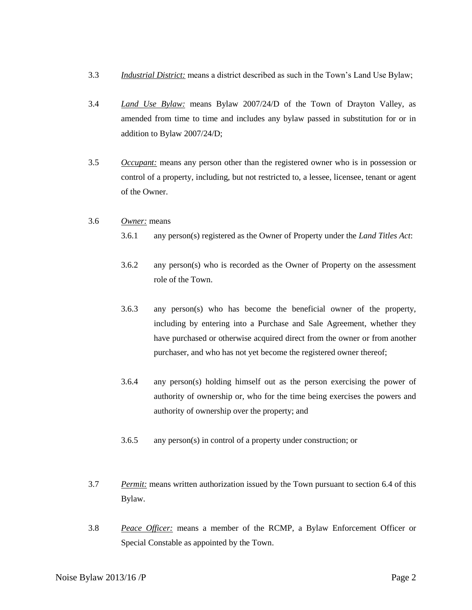- 3.3 *Industrial District:* means a district described as such in the Town's Land Use Bylaw;
- 3.4 *Land Use Bylaw:* means Bylaw 2007/24/D of the Town of Drayton Valley, as amended from time to time and includes any bylaw passed in substitution for or in addition to Bylaw 2007/24/D;
- 3.5 *Occupant:* means any person other than the registered owner who is in possession or control of a property, including, but not restricted to, a lessee, licensee, tenant or agent of the Owner.

#### 3.6 *Owner:* means

- 3.6.1 any person(s) registered as the Owner of Property under the *Land Titles Act*:
- 3.6.2 any person(s) who is recorded as the Owner of Property on the assessment role of the Town.
- 3.6.3 any person(s) who has become the beneficial owner of the property, including by entering into a Purchase and Sale Agreement, whether they have purchased or otherwise acquired direct from the owner or from another purchaser, and who has not yet become the registered owner thereof;
- 3.6.4 any person(s) holding himself out as the person exercising the power of authority of ownership or, who for the time being exercises the powers and authority of ownership over the property; and
- 3.6.5 any person(s) in control of a property under construction; or
- 3.7 *Permit:* means written authorization issued by the Town pursuant to section 6.4 of this Bylaw.
- 3.8 *Peace Officer:* means a member of the RCMP, a Bylaw Enforcement Officer or Special Constable as appointed by the Town.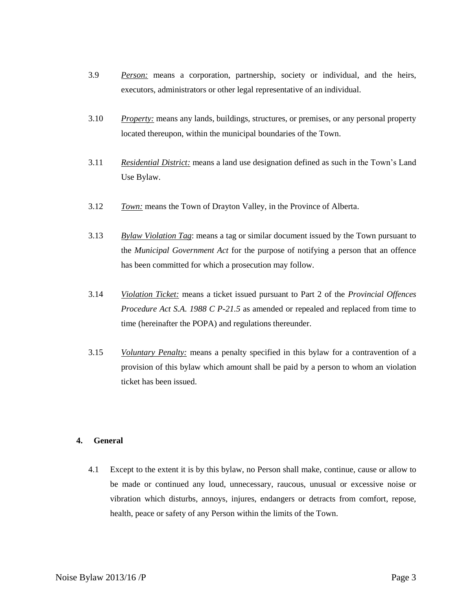- 3.9 *Person:* means a corporation, partnership, society or individual, and the heirs, executors, administrators or other legal representative of an individual.
- 3.10 *Property:* means any lands, buildings, structures, or premises, or any personal property located thereupon, within the municipal boundaries of the Town.
- 3.11 *Residential District:* means a land use designation defined as such in the Town's Land Use Bylaw.
- 3.12 *Town:* means the Town of Drayton Valley, in the Province of Alberta.
- 3.13 *Bylaw Violation Tag*: means a tag or similar document issued by the Town pursuant to the *Municipal Government Act* for the purpose of notifying a person that an offence has been committed for which a prosecution may follow.
- 3.14 *Violation Ticket:* means a ticket issued pursuant to Part 2 of the *Provincial Offences Procedure Act S.A. 1988 C P-21.5* as amended or repealed and replaced from time to time (hereinafter the POPA) and regulations thereunder.
- 3.15 *Voluntary Penalty:* means a penalty specified in this bylaw for a contravention of a provision of this bylaw which amount shall be paid by a person to whom an violation ticket has been issued.

# **4. General**

4.1 Except to the extent it is by this bylaw, no Person shall make, continue, cause or allow to be made or continued any loud, unnecessary, raucous, unusual or excessive noise or vibration which disturbs, annoys, injures, endangers or detracts from comfort, repose, health, peace or safety of any Person within the limits of the Town.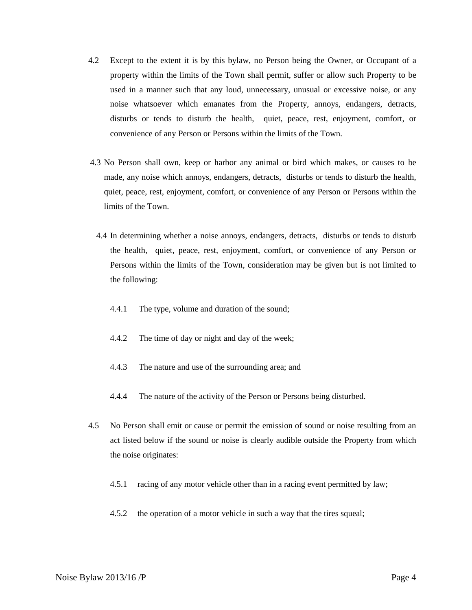- 4.2 Except to the extent it is by this bylaw, no Person being the Owner, or Occupant of a property within the limits of the Town shall permit, suffer or allow such Property to be used in a manner such that any loud, unnecessary, unusual or excessive noise, or any noise whatsoever which emanates from the Property, annoys, endangers, detracts, disturbs or tends to disturb the health, quiet, peace, rest, enjoyment, comfort, or convenience of any Person or Persons within the limits of the Town.
- 4.3 No Person shall own, keep or harbor any animal or bird which makes, or causes to be made, any noise which annoys, endangers, detracts, disturbs or tends to disturb the health, quiet, peace, rest, enjoyment, comfort, or convenience of any Person or Persons within the limits of the Town.
	- 4.4 In determining whether a noise annoys, endangers, detracts, disturbs or tends to disturb the health, quiet, peace, rest, enjoyment, comfort, or convenience of any Person or Persons within the limits of the Town, consideration may be given but is not limited to the following:
		- 4.4.1 The type, volume and duration of the sound;
		- 4.4.2 The time of day or night and day of the week;
		- 4.4.3 The nature and use of the surrounding area; and
		- 4.4.4 The nature of the activity of the Person or Persons being disturbed.
- 4.5 No Person shall emit or cause or permit the emission of sound or noise resulting from an act listed below if the sound or noise is clearly audible outside the Property from which the noise originates:
	- 4.5.1 racing of any motor vehicle other than in a racing event permitted by law;
	- 4.5.2 the operation of a motor vehicle in such a way that the tires squeal;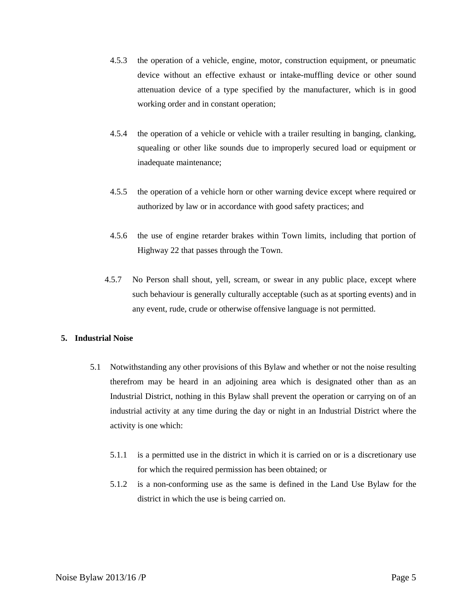- 4.5.3 the operation of a vehicle, engine, motor, construction equipment, or pneumatic device without an effective exhaust or intake-muffling device or other sound attenuation device of a type specified by the manufacturer, which is in good working order and in constant operation;
- 4.5.4 the operation of a vehicle or vehicle with a trailer resulting in banging, clanking, squealing or other like sounds due to improperly secured load or equipment or inadequate maintenance;
- 4.5.5 the operation of a vehicle horn or other warning device except where required or authorized by law or in accordance with good safety practices; and
- 4.5.6 the use of engine retarder brakes within Town limits, including that portion of Highway 22 that passes through the Town.
- 4.5.7 No Person shall shout, yell, scream, or swear in any public place, except where such behaviour is generally culturally acceptable (such as at sporting events) and in any event, rude, crude or otherwise offensive language is not permitted.

## **5. Industrial Noise**

- 5.1 Notwithstanding any other provisions of this Bylaw and whether or not the noise resulting therefrom may be heard in an adjoining area which is designated other than as an Industrial District, nothing in this Bylaw shall prevent the operation or carrying on of an industrial activity at any time during the day or night in an Industrial District where the activity is one which:
	- 5.1.1 is a permitted use in the district in which it is carried on or is a discretionary use for which the required permission has been obtained; or
	- 5.1.2 is a non-conforming use as the same is defined in the Land Use Bylaw for the district in which the use is being carried on.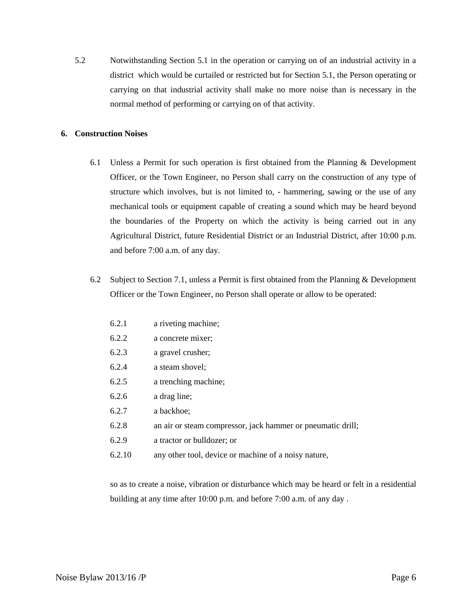5.2 Notwithstanding Section 5.1 in the operation or carrying on of an industrial activity in a district which would be curtailed or restricted but for Section 5.1, the Person operating or carrying on that industrial activity shall make no more noise than is necessary in the normal method of performing or carrying on of that activity.

# **6. Construction Noises**

- 6.1 Unless a Permit for such operation is first obtained from the Planning & Development Officer, or the Town Engineer, no Person shall carry on the construction of any type of structure which involves, but is not limited to, - hammering, sawing or the use of any mechanical tools or equipment capable of creating a sound which may be heard beyond the boundaries of the Property on which the activity is being carried out in any Agricultural District, future Residential District or an Industrial District, after 10:00 p.m. and before 7:00 a.m. of any day.
- 6.2 Subject to Section 7.1, unless a Permit is first obtained from the Planning & Development Officer or the Town Engineer, no Person shall operate or allow to be operated:
	- 6.2.1 a riveting machine;
	- 6.2.2 a concrete mixer;
	- 6.2.3 a gravel crusher;
	- 6.2.4 a steam shovel;
	- 6.2.5 a trenching machine;
	- 6.2.6 a drag line;
	- 6.2.7 a backhoe;
	- 6.2.8 an air or steam compressor, jack hammer or pneumatic drill;
	- 6.2.9 a tractor or bulldozer; or
	- 6.2.10 any other tool, device or machine of a noisy nature,

so as to create a noise, vibration or disturbance which may be heard or felt in a residential building at any time after 10:00 p.m. and before 7:00 a.m. of any day .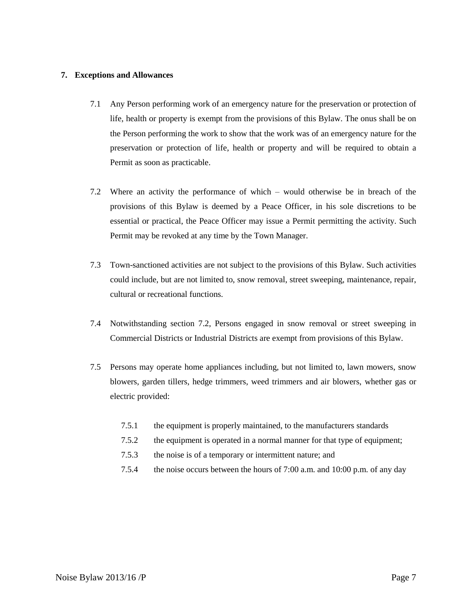#### **7. Exceptions and Allowances**

- 7.1 Any Person performing work of an emergency nature for the preservation or protection of life, health or property is exempt from the provisions of this Bylaw. The onus shall be on the Person performing the work to show that the work was of an emergency nature for the preservation or protection of life, health or property and will be required to obtain a Permit as soon as practicable.
- 7.2 Where an activity the performance of which would otherwise be in breach of the provisions of this Bylaw is deemed by a Peace Officer, in his sole discretions to be essential or practical, the Peace Officer may issue a Permit permitting the activity. Such Permit may be revoked at any time by the Town Manager.
- 7.3 Town-sanctioned activities are not subject to the provisions of this Bylaw. Such activities could include, but are not limited to, snow removal, street sweeping, maintenance, repair, cultural or recreational functions.
- 7.4 Notwithstanding section 7.2, Persons engaged in snow removal or street sweeping in Commercial Districts or Industrial Districts are exempt from provisions of this Bylaw.
- 7.5 Persons may operate home appliances including, but not limited to, lawn mowers, snow blowers, garden tillers, hedge trimmers, weed trimmers and air blowers, whether gas or electric provided:
	- 7.5.1 the equipment is properly maintained, to the manufacturers standards
	- 7.5.2 the equipment is operated in a normal manner for that type of equipment;
	- 7.5.3 the noise is of a temporary or intermittent nature; and
	- 7.5.4 the noise occurs between the hours of 7:00 a.m. and 10:00 p.m. of any day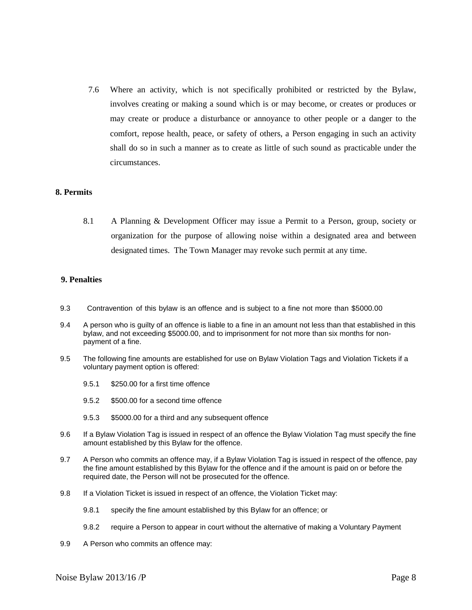7.6 Where an activity, which is not specifically prohibited or restricted by the Bylaw, involves creating or making a sound which is or may become, or creates or produces or may create or produce a disturbance or annoyance to other people or a danger to the comfort, repose health, peace, or safety of others, a Person engaging in such an activity shall do so in such a manner as to create as little of such sound as practicable under the circumstances.

#### **8. Permits**

8.1 A Planning & Development Officer may issue a Permit to a Person, group, society or organization for the purpose of allowing noise within a designated area and between designated times. The Town Manager may revoke such permit at any time.

# **9. Penalties**

- 9.3 Contravention of this bylaw is an offence and is subject to a fine not more than \$5000.00
- 9.4 A person who is guilty of an offence is liable to a fine in an amount not less than that established in this bylaw, and not exceeding \$5000.00, and to imprisonment for not more than six months for nonpayment of a fine.
- 9.5 The following fine amounts are established for use on Bylaw Violation Tags and Violation Tickets if a voluntary payment option is offered:
	- 9.5.1 \$250.00 for a first time offence
	- 9.5.2 \$500.00 for a second time offence
	- 9.5.3 \$5000.00 for a third and any subsequent offence
- 9.6 If a Bylaw Violation Tag is issued in respect of an offence the Bylaw Violation Tag must specify the fine amount established by this Bylaw for the offence.
- 9.7 A Person who commits an offence may, if a Bylaw Violation Tag is issued in respect of the offence, pay the fine amount established by this Bylaw for the offence and if the amount is paid on or before the required date, the Person will not be prosecuted for the offence.
- 9.8 If a Violation Ticket is issued in respect of an offence, the Violation Ticket may:
	- 9.8.1 specify the fine amount established by this Bylaw for an offence; or
	- 9.8.2 require a Person to appear in court without the alternative of making a Voluntary Payment
- 9.9 A Person who commits an offence may: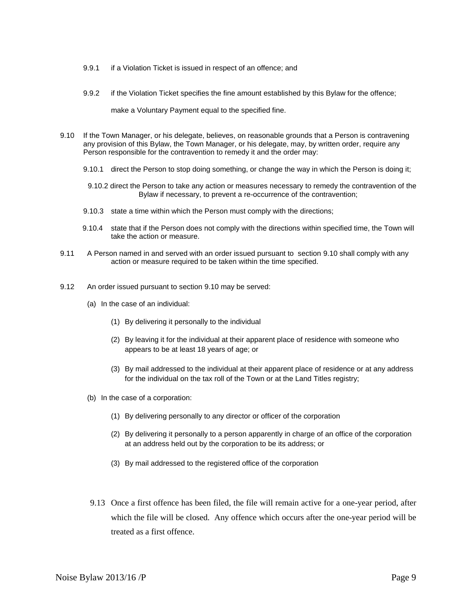- 9.9.1 if a Violation Ticket is issued in respect of an offence; and
- 9.9.2 if the Violation Ticket specifies the fine amount established by this Bylaw for the offence;

make a Voluntary Payment equal to the specified fine.

- 9.10 If the Town Manager, or his delegate, believes, on reasonable grounds that a Person is contravening any provision of this Bylaw, the Town Manager, or his delegate, may, by written order, require any Person responsible for the contravention to remedy it and the order may:
	- 9.10.1 direct the Person to stop doing something, or change the way in which the Person is doing it;
	- 9.10.2 direct the Person to take any action or measures necessary to remedy the contravention of the Bylaw if necessary, to prevent a re-occurrence of the contravention;
	- 9.10.3 state a time within which the Person must comply with the directions;
	- 9.10.4 state that if the Person does not comply with the directions within specified time, the Town will take the action or measure.
- 9.11 A Person named in and served with an order issued pursuant to section 9.10 shall comply with any action or measure required to be taken within the time specified.
- 9.12 An order issued pursuant to section 9.10 may be served:
	- (a) In the case of an individual:
		- (1) By delivering it personally to the individual
		- (2) By leaving it for the individual at their apparent place of residence with someone who appears to be at least 18 years of age; or
		- (3) By mail addressed to the individual at their apparent place of residence or at any address for the individual on the tax roll of the Town or at the Land Titles registry;
	- (b) In the case of a corporation:
		- (1) By delivering personally to any director or officer of the corporation
		- (2) By delivering it personally to a person apparently in charge of an office of the corporation at an address held out by the corporation to be its address; or
		- (3) By mail addressed to the registered office of the corporation
	- 9.13 Once a first offence has been filed, the file will remain active for a one-year period, after which the file will be closed. Any offence which occurs after the one-year period will be treated as a first offence.